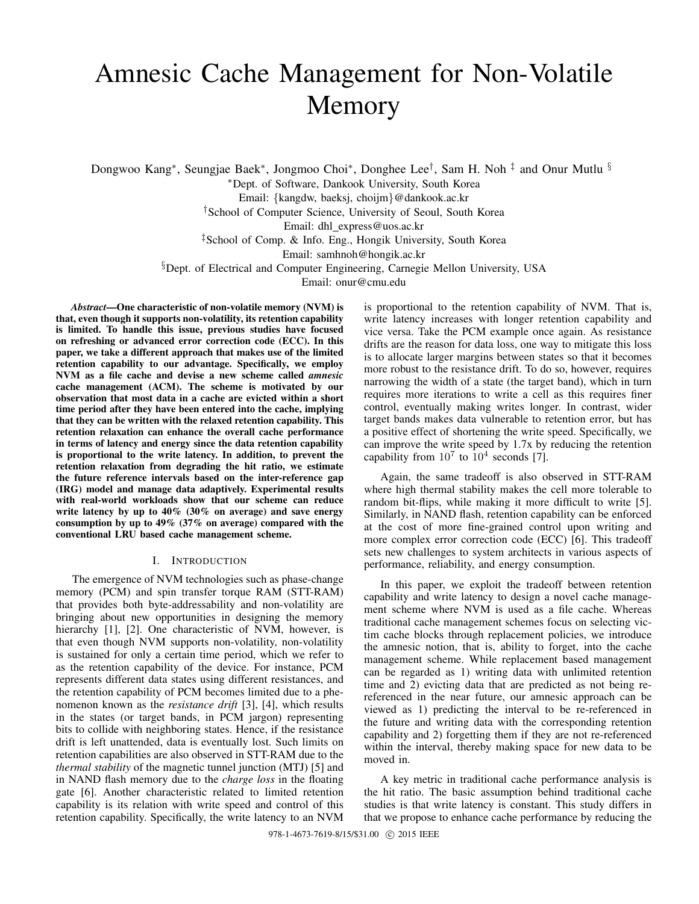# Amnesic Cache Management for Non-Volatile Memory

Dongwoo Kang\*, Seungjae Baek\*, Jongmoo Choi\*, Donghee Lee<sup>†</sup>, Sam H. Noh <sup>‡</sup> and Onur Mutlu <sup>§</sup>

<sup>∗</sup>Dept. of Software, Dankook University, South Korea

Email: {kangdw, baeksj, choijm}@dankook.ac.kr

†School of Computer Science, University of Seoul, South Korea

Email: dhl\_express@uos.ac.kr

‡School of Comp. & Info. Eng., Hongik University, South Korea

Email: samhnoh@hongik.ac.kr

§Dept. of Electrical and Computer Engineering, Carnegie Mellon University, USA

Email: onur@cmu.edu

*Abstract*—One characteristic of non-volatile memory (NVM) is that, even though it supports non-volatility, its retention capability is limited. To handle this issue, previous studies have focused on refreshing or advanced error correction code (ECC). In this paper, we take a different approach that makes use of the limited retention capability to our advantage. Specifically, we employ NVM as a file cache and devise a new scheme called *amnesic* cache management (ACM). The scheme is motivated by our observation that most data in a cache are evicted within a short time period after they have been entered into the cache, implying that they can be written with the relaxed retention capability. This retention relaxation can enhance the overall cache performance in terms of latency and energy since the data retention capability is proportional to the write latency. In addition, to prevent the retention relaxation from degrading the hit ratio, we estimate the future reference intervals based on the inter-reference gap (IRG) model and manage data adaptively. Experimental results with real-world workloads show that our scheme can reduce write latency by up to  $40\%$  (30% on average) and save energy consumption by up to 49% (37% on average) compared with the conventional LRU based cache management scheme.

## I. INTRODUCTION

The emergence of NVM technologies such as phase-change memory (PCM) and spin transfer torque RAM (STT-RAM) that provides both byte-addressability and non-volatility are bringing about new opportunities in designing the memory hierarchy [1], [2]. One characteristic of NVM, however, is that even though NVM supports non-volatility, non-volatility is sustained for only a certain time period, which we refer to as the retention capability of the device. For instance, PCM represents different data states using different resistances, and the retention capability of PCM becomes limited due to a phenomenon known as the *resistance drift* [3], [4], which results in the states (or target bands, in PCM jargon) representing bits to collide with neighboring states. Hence, if the resistance drift is left unattended, data is eventually lost. Such limits on retention capabilities are also observed in STT-RAM due to the *thermal stability* of the magnetic tunnel junction (MTJ) [5] and in NAND flash memory due to the *charge loss* in the floating gate [6]. Another characteristic related to limited retention capability is its relation with write speed and control of this retention capability. Specifically, the write latency to an NVM

is proportional to the retention capability of NVM. That is, write latency increases with longer retention capability and vice versa. Take the PCM example once again. As resistance drifts are the reason for data loss, one way to mitigate this loss is to allocate larger margins between states so that it becomes more robust to the resistance drift. To do so, however, requires narrowing the width of a state (the target band), which in turn requires more iterations to write a cell as this requires finer control, eventually making writes longer. In contrast, wider target bands makes data vulnerable to retention error, but has a positive effect of shortening the write speed. Specifically, we can improve the write speed by 1.7x by reducing the retention capability from  $10^7$  to  $10^4$  seconds [7].

Again, the same tradeoff is also observed in STT-RAM where high thermal stability makes the cell more tolerable to random bit-flips, while making it more difficult to write [5]. Similarly, in NAND flash, retention capability can be enforced at the cost of more fine-grained control upon writing and more complex error correction code (ECC) [6]. This tradeoff sets new challenges to system architects in various aspects of performance, reliability, and energy consumption.

In this paper, we exploit the tradeoff between retention capability and write latency to design a novel cache management scheme where NVM is used as a file cache. Whereas traditional cache management schemes focus on selecting victim cache blocks through replacement policies, we introduce the amnesic notion, that is, ability to forget, into the cache management scheme. While replacement based management can be regarded as 1) writing data with unlimited retention time and 2) evicting data that are predicted as not being rereferenced in the near future, our amnesic approach can be viewed as 1) predicting the interval to be re-referenced in the future and writing data with the corresponding retention capability and 2) forgetting them if they are not re-referenced within the interval, thereby making space for new data to be moved in.

A key metric in traditional cache performance analysis is the hit ratio. The basic assumption behind traditional cache studies is that write latency is constant. This study differs in that we propose to enhance cache performance by reducing the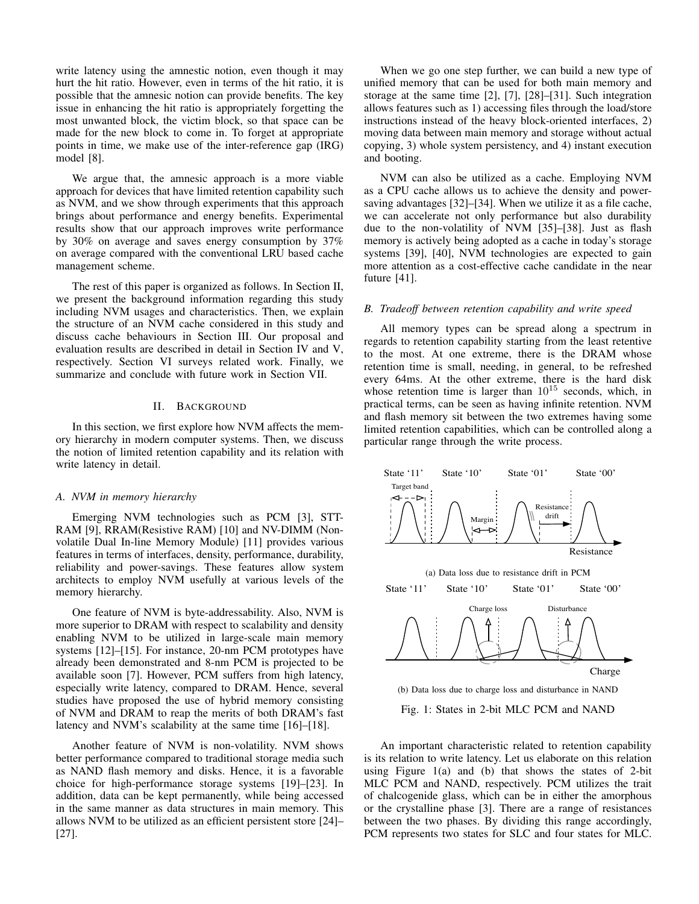write latency using the amnestic notion, even though it may hurt the hit ratio. However, even in terms of the hit ratio, it is possible that the amnesic notion can provide benefits. The key issue in enhancing the hit ratio is appropriately forgetting the most unwanted block, the victim block, so that space can be made for the new block to come in. To forget at appropriate points in time, we make use of the inter-reference gap (IRG) model [8].

We argue that, the amnesic approach is a more viable approach for devices that have limited retention capability such as NVM, and we show through experiments that this approach brings about performance and energy benefits. Experimental results show that our approach improves write performance by 30% on average and saves energy consumption by 37% on average compared with the conventional LRU based cache management scheme.

The rest of this paper is organized as follows. In Section II, we present the background information regarding this study including NVM usages and characteristics. Then, we explain the structure of an NVM cache considered in this study and discuss cache behaviours in Section III. Our proposal and evaluation results are described in detail in Section IV and V, respectively. Section VI surveys related work. Finally, we summarize and conclude with future work in Section VII.

# II. BACKGROUND

In this section, we first explore how NVM affects the memory hierarchy in modern computer systems. Then, we discuss the notion of limited retention capability and its relation with write latency in detail.

### *A. NVM in memory hierarchy*

Emerging NVM technologies such as PCM [3], STT-RAM [9], RRAM(Resistive RAM) [10] and NV-DIMM (Nonvolatile Dual In-line Memory Module) [11] provides various features in terms of interfaces, density, performance, durability, reliability and power-savings. These features allow system architects to employ NVM usefully at various levels of the memory hierarchy.

One feature of NVM is byte-addressability. Also, NVM is more superior to DRAM with respect to scalability and density enabling NVM to be utilized in large-scale main memory systems [12]–[15]. For instance, 20-nm PCM prototypes have already been demonstrated and 8-nm PCM is projected to be available soon [7]. However, PCM suffers from high latency, especially write latency, compared to DRAM. Hence, several studies have proposed the use of hybrid memory consisting of NVM and DRAM to reap the merits of both DRAM's fast latency and NVM's scalability at the same time [16]–[18].

Another feature of NVM is non-volatility. NVM shows better performance compared to traditional storage media such as NAND flash memory and disks. Hence, it is a favorable choice for high-performance storage systems [19]–[23]. In addition, data can be kept permanently, while being accessed in the same manner as data structures in main memory. This allows NVM to be utilized as an efficient persistent store [24]– [27].

When we go one step further, we can build a new type of unified memory that can be used for both main memory and storage at the same time [2], [7], [28]–[31]. Such integration allows features such as 1) accessing files through the load/store instructions instead of the heavy block-oriented interfaces, 2) moving data between main memory and storage without actual copying, 3) whole system persistency, and 4) instant execution and booting.

NVM can also be utilized as a cache. Employing NVM as a CPU cache allows us to achieve the density and powersaving advantages [32]–[34]. When we utilize it as a file cache, we can accelerate not only performance but also durability due to the non-volatility of NVM [35]–[38]. Just as flash memory is actively being adopted as a cache in today's storage systems [39], [40], NVM technologies are expected to gain more attention as a cost-effective cache candidate in the near future [41].

# *B. Tradeoff between retention capability and write speed*

All memory types can be spread along a spectrum in regards to retention capability starting from the least retentive to the most. At one extreme, there is the DRAM whose retention time is small, needing, in general, to be refreshed every 64ms. At the other extreme, there is the hard disk whose retention time is larger than  $10^{15}$  seconds, which, in practical terms, can be seen as having infinite retention. NVM and flash memory sit between the two extremes having some limited retention capabilities, which can be controlled along a particular range through the write process.



An important characteristic related to retention capability is its relation to write latency. Let us elaborate on this relation using Figure 1(a) and (b) that shows the states of 2-bit MLC PCM and NAND, respectively. PCM utilizes the trait of chalcogenide glass, which can be in either the amorphous or the crystalline phase [3]. There are a range of resistances between the two phases. By dividing this range accordingly, PCM represents two states for SLC and four states for MLC.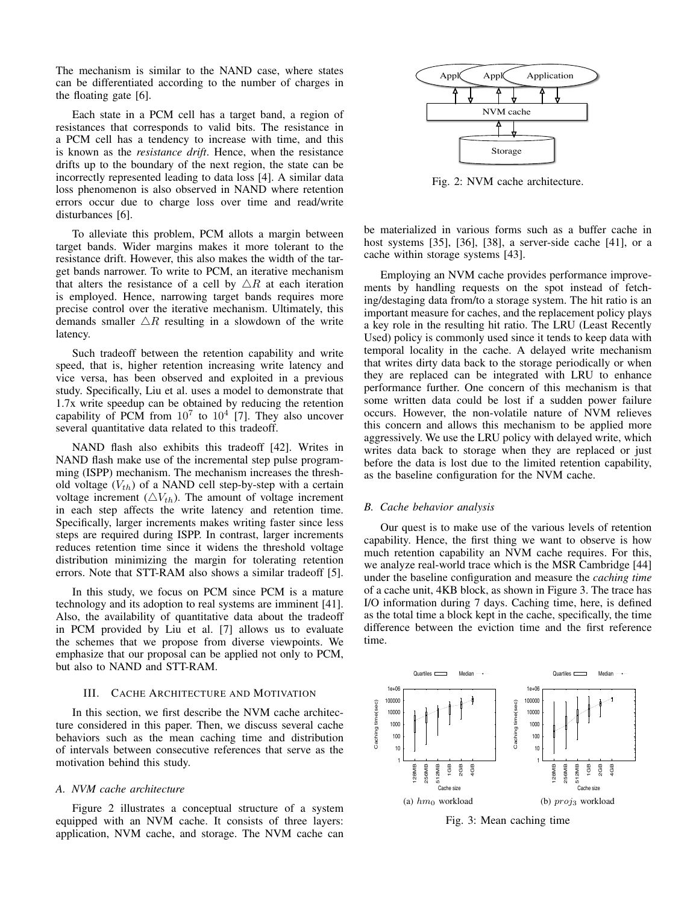The mechanism is similar to the NAND case, where states can be differentiated according to the number of charges in the floating gate [6].

Each state in a PCM cell has a target band, a region of resistances that corresponds to valid bits. The resistance in a PCM cell has a tendency to increase with time, and this is known as the *resistance drift*. Hence, when the resistance drifts up to the boundary of the next region, the state can be incorrectly represented leading to data loss [4]. A similar data loss phenomenon is also observed in NAND where retention errors occur due to charge loss over time and read/write disturbances [6].

To alleviate this problem, PCM allots a margin between target bands. Wider margins makes it more tolerant to the resistance drift. However, this also makes the width of the target bands narrower. To write to PCM, an iterative mechanism that alters the resistance of a cell by  $\triangle R$  at each iteration is employed. Hence, narrowing target bands requires more precise control over the iterative mechanism. Ultimately, this demands smaller  $\triangle R$  resulting in a slowdown of the write latency.

Such tradeoff between the retention capability and write speed, that is, higher retention increasing write latency and vice versa, has been observed and exploited in a previous study. Specifically, Liu et al. uses a model to demonstrate that 1.7x write speedup can be obtained by reducing the retention capability of PCM from  $10^7$  to  $10^4$  [7]. They also uncover several quantitative data related to this tradeoff.

NAND flash also exhibits this tradeoff [42]. Writes in NAND flash make use of the incremental step pulse programming (ISPP) mechanism. The mechanism increases the threshold voltage  $(V_{th})$  of a NAND cell step-by-step with a certain voltage increment  $(\triangle V_{th})$ . The amount of voltage increment in each step affects the write latency and retention time. Specifically, larger increments makes writing faster since less steps are required during ISPP. In contrast, larger increments reduces retention time since it widens the threshold voltage distribution minimizing the margin for tolerating retention errors. Note that STT-RAM also shows a similar tradeoff [5].

In this study, we focus on PCM since PCM is a mature technology and its adoption to real systems are imminent [41]. Also, the availability of quantitative data about the tradeoff in PCM provided by Liu et al. [7] allows us to evaluate the schemes that we propose from diverse viewpoints. We emphasize that our proposal can be applied not only to PCM, but also to NAND and STT-RAM.

# III. CACHE ARCHITECTURE AND MOTIVATION

In this section, we first describe the NVM cache architecture considered in this paper. Then, we discuss several cache behaviors such as the mean caching time and distribution of intervals between consecutive references that serve as the motivation behind this study.

# *A. NVM cache architecture*

Figure 2 illustrates a conceptual structure of a system equipped with an NVM cache. It consists of three layers: application, NVM cache, and storage. The NVM cache can



Fig. 2: NVM cache architecture.

be materialized in various forms such as a buffer cache in host systems [35], [36], [38], a server-side cache [41], or a cache within storage systems [43].

Employing an NVM cache provides performance improvements by handling requests on the spot instead of fetching/destaging data from/to a storage system. The hit ratio is an important measure for caches, and the replacement policy plays a key role in the resulting hit ratio. The LRU (Least Recently Used) policy is commonly used since it tends to keep data with temporal locality in the cache. A delayed write mechanism that writes dirty data back to the storage periodically or when they are replaced can be integrated with LRU to enhance performance further. One concern of this mechanism is that some written data could be lost if a sudden power failure occurs. However, the non-volatile nature of NVM relieves this concern and allows this mechanism to be applied more aggressively. We use the LRU policy with delayed write, which writes data back to storage when they are replaced or just before the data is lost due to the limited retention capability, as the baseline configuration for the NVM cache.

# *B. Cache behavior analysis*

Our quest is to make use of the various levels of retention capability. Hence, the first thing we want to observe is how much retention capability an NVM cache requires. For this, we analyze real-world trace which is the MSR Cambridge [44] under the baseline configuration and measure the *caching time* of a cache unit, 4KB block, as shown in Figure 3. The trace has I/O information during 7 days. Caching time, here, is defined as the total time a block kept in the cache, specifically, the time difference between the eviction time and the first reference time.



Fig. 3: Mean caching time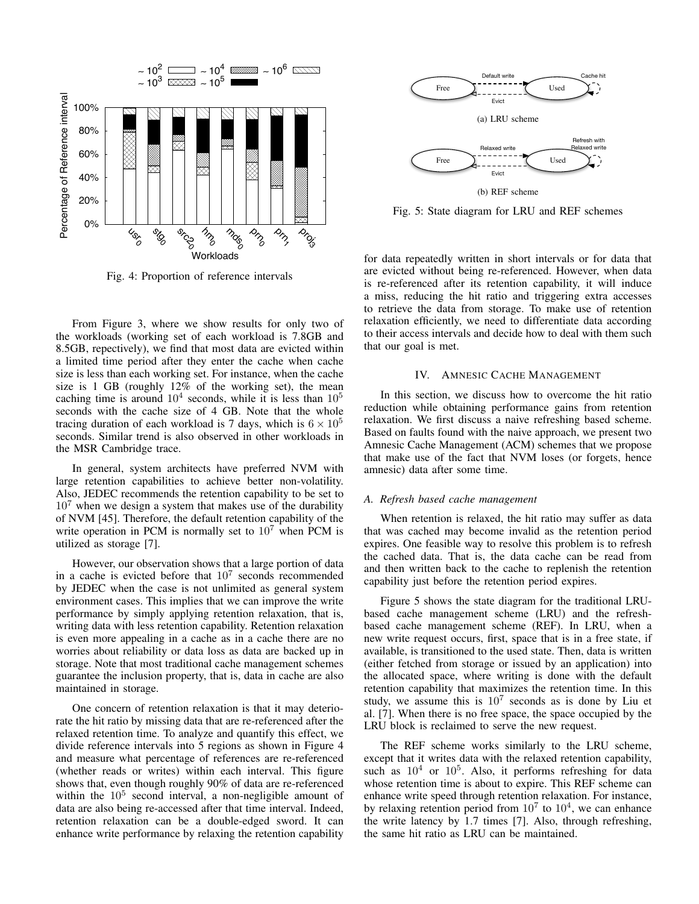

Fig. 4: Proportion of reference intervals

From Figure 3, where we show results for only two of the workloads (working set of each workload is 7.8GB and 8.5GB, repectively), we find that most data are evicted within a limited time period after they enter the cache when cache size is less than each working set. For instance, when the cache size is 1 GB (roughly 12% of the working set), the mean caching time is around  $10^4$  seconds, while it is less than  $10^5$ seconds with the cache size of 4 GB. Note that the whole tracing duration of each workload is 7 days, which is  $6 \times 10^5$ seconds. Similar trend is also observed in other workloads in the MSR Cambridge trace.

In general, system architects have preferred NVM with large retention capabilities to achieve better non-volatility. Also, JEDEC recommends the retention capability to be set to  $10<sup>7</sup>$  when we design a system that makes use of the durability of NVM [45]. Therefore, the default retention capability of the write operation in PCM is normally set to  $10<sup>7</sup>$  when PCM is utilized as storage [7].

However, our observation shows that a large portion of data in a cache is evicted before that  $10^7$  seconds recommended by JEDEC when the case is not unlimited as general system environment cases. This implies that we can improve the write performance by simply applying retention relaxation, that is, writing data with less retention capability. Retention relaxation is even more appealing in a cache as in a cache there are no worries about reliability or data loss as data are backed up in storage. Note that most traditional cache management schemes guarantee the inclusion property, that is, data in cache are also maintained in storage.

One concern of retention relaxation is that it may deteriorate the hit ratio by missing data that are re-referenced after the relaxed retention time. To analyze and quantify this effect, we divide reference intervals into 5 regions as shown in Figure 4 and measure what percentage of references are re-referenced (whether reads or writes) within each interval. This figure shows that, even though roughly 90% of data are re-referenced within the  $10<sup>5</sup>$  second interval, a non-negligible amount of data are also being re-accessed after that time interval. Indeed, retention relaxation can be a double-edged sword. It can enhance write performance by relaxing the retention capability



Fig. 5: State diagram for LRU and REF schemes

for data repeatedly written in short intervals or for data that are evicted without being re-referenced. However, when data is re-referenced after its retention capability, it will induce a miss, reducing the hit ratio and triggering extra accesses to retrieve the data from storage. To make use of retention relaxation efficiently, we need to differentiate data according to their access intervals and decide how to deal with them such that our goal is met.

# IV. AMNESIC CACHE MANAGEMENT

In this section, we discuss how to overcome the hit ratio reduction while obtaining performance gains from retention relaxation. We first discuss a naive refreshing based scheme. Based on faults found with the naive approach, we present two Amnesic Cache Management (ACM) schemes that we propose that make use of the fact that NVM loses (or forgets, hence amnesic) data after some time.

#### *A. Refresh based cache management*

When retention is relaxed, the hit ratio may suffer as data that was cached may become invalid as the retention period expires. One feasible way to resolve this problem is to refresh the cached data. That is, the data cache can be read from and then written back to the cache to replenish the retention capability just before the retention period expires.

Figure 5 shows the state diagram for the traditional LRUbased cache management scheme (LRU) and the refreshbased cache management scheme (REF). In LRU, when a new write request occurs, first, space that is in a free state, if available, is transitioned to the used state. Then, data is written (either fetched from storage or issued by an application) into the allocated space, where writing is done with the default retention capability that maximizes the retention time. In this study, we assume this is  $10^7$  seconds as is done by Liu et al. [7]. When there is no free space, the space occupied by the LRU block is reclaimed to serve the new request.

The REF scheme works similarly to the LRU scheme, except that it writes data with the relaxed retention capability, such as  $10^4$  or  $10^5$ . Also, it performs refreshing for data whose retention time is about to expire. This REF scheme can enhance write speed through retention relaxation. For instance, by relaxing retention period from  $10^7$  to  $10^4$ , we can enhance the write latency by 1.7 times [7]. Also, through refreshing, the same hit ratio as LRU can be maintained.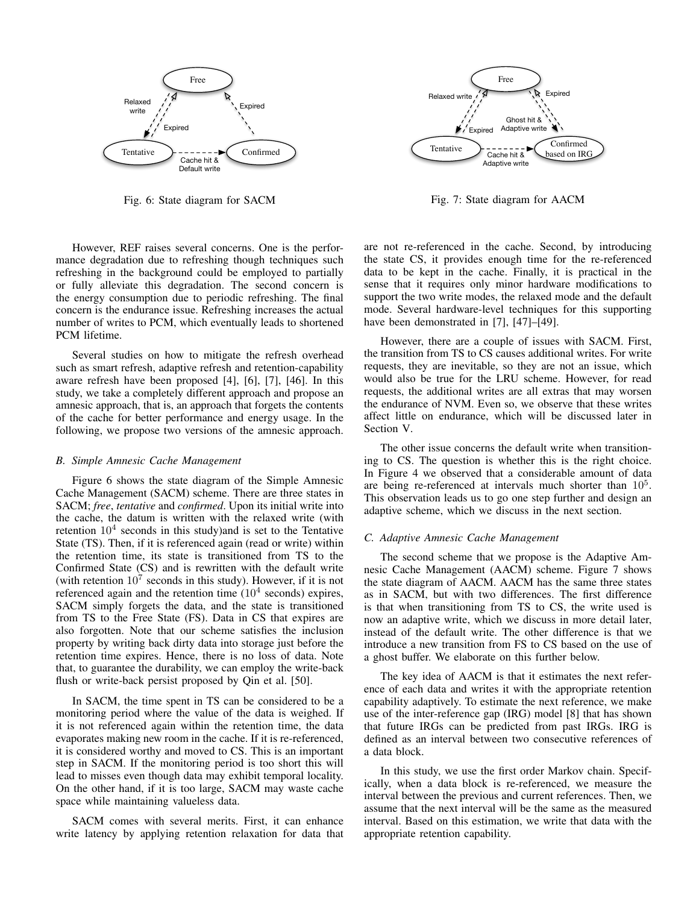

Fig. 6: State diagram for SACM



Fig. 7: State diagram for AACM

However, REF raises several concerns. One is the performance degradation due to refreshing though techniques such refreshing in the background could be employed to partially or fully alleviate this degradation. The second concern is the energy consumption due to periodic refreshing. The final concern is the endurance issue. Refreshing increases the actual number of writes to PCM, which eventually leads to shortened PCM lifetime.

Several studies on how to mitigate the refresh overhead such as smart refresh, adaptive refresh and retention-capability aware refresh have been proposed [4], [6], [7], [46]. In this study, we take a completely different approach and propose an amnesic approach, that is, an approach that forgets the contents of the cache for better performance and energy usage. In the following, we propose two versions of the amnesic approach.

#### *B. Simple Amnesic Cache Management*

Figure 6 shows the state diagram of the Simple Amnesic Cache Management (SACM) scheme. There are three states in SACM; *free*, *tentative* and *confirmed*. Upon its initial write into the cache, the datum is written with the relaxed write (with retention  $10<sup>4</sup>$  seconds in this study) and is set to the Tentative State (TS). Then, if it is referenced again (read or write) within the retention time, its state is transitioned from TS to the Confirmed State (CS) and is rewritten with the default write (with retention  $10^7$  seconds in this study). However, if it is not referenced again and the retention time  $(10^4 \text{ seconds})$  expires, SACM simply forgets the data, and the state is transitioned from TS to the Free State (FS). Data in CS that expires are also forgotten. Note that our scheme satisfies the inclusion property by writing back dirty data into storage just before the retention time expires. Hence, there is no loss of data. Note that, to guarantee the durability, we can employ the write-back flush or write-back persist proposed by Qin et al. [50].

In SACM, the time spent in TS can be considered to be a monitoring period where the value of the data is weighed. If it is not referenced again within the retention time, the data evaporates making new room in the cache. If it is re-referenced, it is considered worthy and moved to CS. This is an important step in SACM. If the monitoring period is too short this will lead to misses even though data may exhibit temporal locality. On the other hand, if it is too large, SACM may waste cache space while maintaining valueless data.

SACM comes with several merits. First, it can enhance write latency by applying retention relaxation for data that are not re-referenced in the cache. Second, by introducing the state CS, it provides enough time for the re-referenced data to be kept in the cache. Finally, it is practical in the sense that it requires only minor hardware modifications to support the two write modes, the relaxed mode and the default mode. Several hardware-level techniques for this supporting have been demonstrated in [7], [47]–[49].

However, there are a couple of issues with SACM. First, the transition from TS to CS causes additional writes. For write requests, they are inevitable, so they are not an issue, which would also be true for the LRU scheme. However, for read requests, the additional writes are all extras that may worsen the endurance of NVM. Even so, we observe that these writes affect little on endurance, which will be discussed later in Section V.

The other issue concerns the default write when transitioning to CS. The question is whether this is the right choice. In Figure 4 we observed that a considerable amount of data are being re-referenced at intervals much shorter than  $10^5$ . This observation leads us to go one step further and design an adaptive scheme, which we discuss in the next section.

#### *C. Adaptive Amnesic Cache Management*

The second scheme that we propose is the Adaptive Amnesic Cache Management (AACM) scheme. Figure 7 shows the state diagram of AACM. AACM has the same three states as in SACM, but with two differences. The first difference is that when transitioning from TS to CS, the write used is now an adaptive write, which we discuss in more detail later, instead of the default write. The other difference is that we introduce a new transition from FS to CS based on the use of a ghost buffer. We elaborate on this further below.

The key idea of AACM is that it estimates the next reference of each data and writes it with the appropriate retention capability adaptively. To estimate the next reference, we make use of the inter-reference gap (IRG) model [8] that has shown that future IRGs can be predicted from past IRGs. IRG is defined as an interval between two consecutive references of a data block.

In this study, we use the first order Markov chain. Specifically, when a data block is re-referenced, we measure the interval between the previous and current references. Then, we assume that the next interval will be the same as the measured interval. Based on this estimation, we write that data with the appropriate retention capability.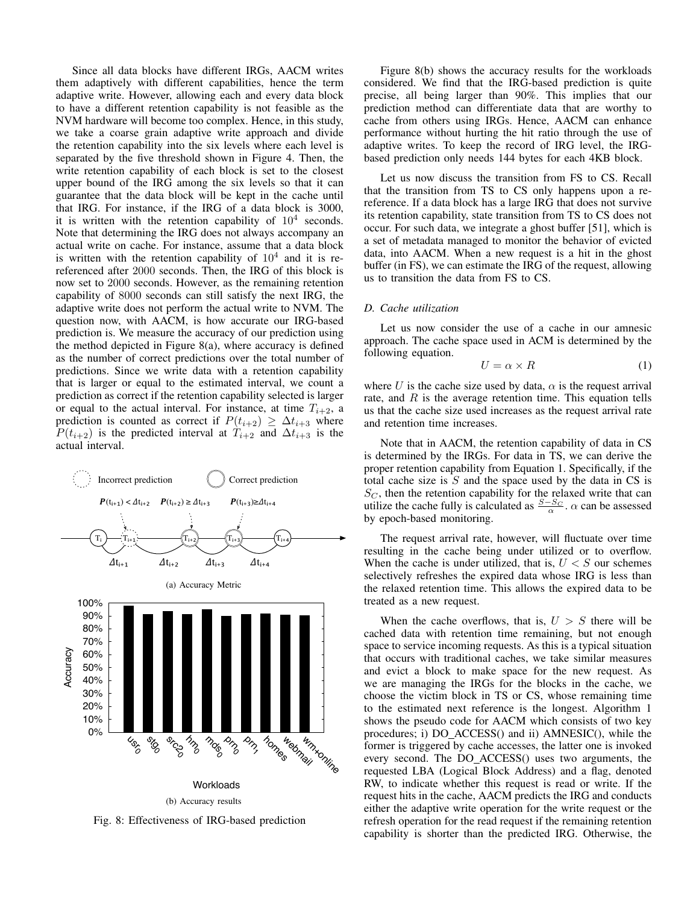Since all data blocks have different IRGs, AACM writes them adaptively with different capabilities, hence the term adaptive write. However, allowing each and every data block to have a different retention capability is not feasible as the NVM hardware will become too complex. Hence, in this study, we take a coarse grain adaptive write approach and divide the retention capability into the six levels where each level is separated by the five threshold shown in Figure 4. Then, the write retention capability of each block is set to the closest upper bound of the IRG among the six levels so that it can guarantee that the data block will be kept in the cache until that IRG. For instance, if the IRG of a data block is 3000, it is written with the retention capability of  $10^4$  seconds. Note that determining the IRG does not always accompany an actual write on cache. For instance, assume that a data block is written with the retention capability of  $10^4$  and it is rereferenced after 2000 seconds. Then, the IRG of this block is now set to 2000 seconds. However, as the remaining retention capability of 8000 seconds can still satisfy the next IRG, the adaptive write does not perform the actual write to NVM. The question now, with AACM, is how accurate our IRG-based prediction is. We measure the accuracy of our prediction using the method depicted in Figure  $8(a)$ , where accuracy is defined as the number of correct predictions over the total number of predictions. Since we write data with a retention capability that is larger or equal to the estimated interval, we count a prediction as correct if the retention capability selected is larger or equal to the actual interval. For instance, at time  $T_{i+2}$ , a prediction is counted as correct if  $P(t_{i+2}) \geq \Delta t_{i+3}$  where  $P(t_{i+2})$  is the predicted interval at  $T_{i+2}$  and  $\Delta t_{i+3}$  is the actual interval.



Fig. 8: Effectiveness of IRG-based prediction

Figure 8(b) shows the accuracy results for the workloads considered. We find that the IRG-based prediction is quite precise, all being larger than 90%. This implies that our prediction method can differentiate data that are worthy to cache from others using IRGs. Hence, AACM can enhance performance without hurting the hit ratio through the use of adaptive writes. To keep the record of IRG level, the IRGbased prediction only needs 144 bytes for each 4KB block.

Let us now discuss the transition from FS to CS. Recall that the transition from TS to CS only happens upon a rereference. If a data block has a large IRG that does not survive its retention capability, state transition from TS to CS does not occur. For such data, we integrate a ghost buffer [51], which is a set of metadata managed to monitor the behavior of evicted data, into AACM. When a new request is a hit in the ghost buffer (in FS), we can estimate the IRG of the request, allowing us to transition the data from FS to CS.

# *D. Cache utilization*

Let us now consider the use of a cache in our amnesic approach. The cache space used in ACM is determined by the following equation.

$$
U = \alpha \times R \tag{1}
$$

where U is the cache size used by data,  $\alpha$  is the request arrival rate, and  $R$  is the average retention time. This equation tells us that the cache size used increases as the request arrival rate and retention time increases.

Note that in AACM, the retention capability of data in CS is determined by the IRGs. For data in TS, we can derive the proper retention capability from Equation 1. Specifically, if the total cache size is  $S$  and the space used by the data in CS is  $S_C$ , then the retention capability for the relaxed write that can utilize the cache fully is calculated as  $\frac{S-S_C}{\alpha}$ .  $\alpha$  can be assessed by epoch-based monitoring.

The request arrival rate, however, will fluctuate over time resulting in the cache being under utilized or to overflow. When the cache is under utilized, that is,  $U < S$  our schemes selectively refreshes the expired data whose IRG is less than the relaxed retention time. This allows the expired data to be treated as a new request.

When the cache overflows, that is,  $U > S$  there will be cached data with retention time remaining, but not enough space to service incoming requests. As this is a typical situation that occurs with traditional caches, we take similar measures and evict a block to make space for the new request. As we are managing the IRGs for the blocks in the cache, we choose the victim block in TS or CS, whose remaining time to the estimated next reference is the longest. Algorithm 1 shows the pseudo code for AACM which consists of two key procedures; i)  $DO_ACCESS()$  and ii) AMNESIC(), while the former is triggered by cache accesses, the latter one is invoked every second. The DO ACCESS() uses two arguments, the requested LBA (Logical Block Address) and a flag, denoted RW, to indicate whether this request is read or write. If the request hits in the cache, AACM predicts the IRG and conducts either the adaptive write operation for the write request or the refresh operation for the read request if the remaining retention capability is shorter than the predicted IRG. Otherwise, the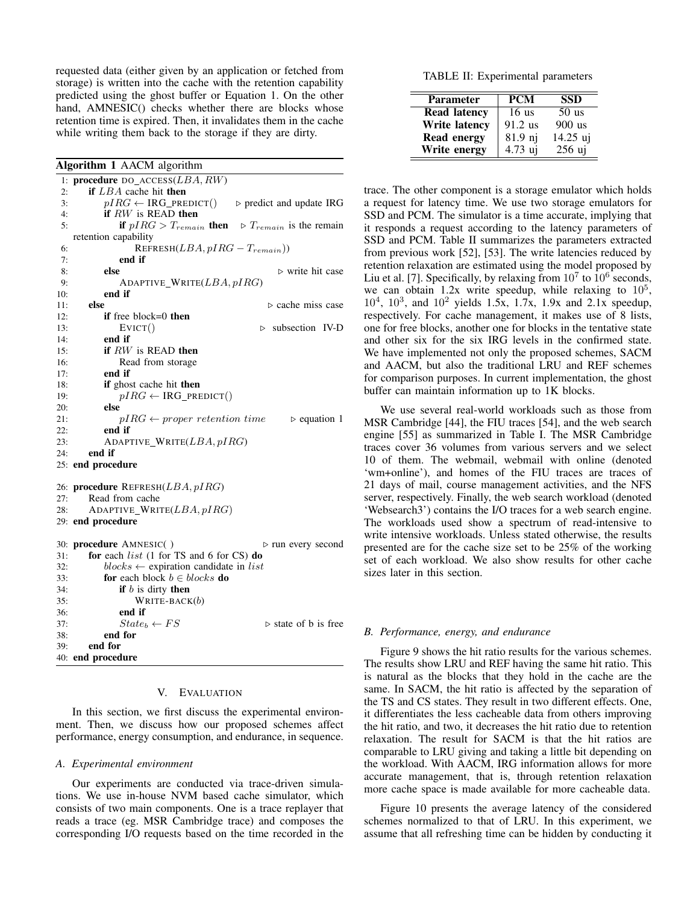requested data (either given by an application or fetched from storage) is written into the cache with the retention capability predicted using the ghost buffer or Equation 1. On the other hand, AMNESIC() checks whether there are blocks whose retention time is expired. Then, it invalidates them in the cache while writing them back to the storage if they are dirty.

Algorithm 1 AACM algorithm 1: **procedure** DO  $\text{ACCESS}(LBA, RW)$ 2: if  $LBA$  cache hit then 3:  $pIRG \leftarrow \text{IRG}_\text{PREDICT}() \Rightarrow \text{predict} \text{ and } \text{update} \text{ IRG}$ 4: **if**  $RW$  is READ then<br>5: **if**  $pIRG > T_{remain}$ if  $pIRG > T_{remain}$  then  $\triangleright$   $T_{remain}$  is the remain retention capability 6: REFRESH( $LBA, pIRG - T_{remain}$ )) 7: end if 8: **else**  $\triangleright$  write hit case 9: ADAPTIVE\_WRITE( $LBA, pIRG$ ) 10: end if 11: else  $\triangleright$  cache miss case 12: **if** free block=0 **then** 13: **EVICT()** 13:  $EVICT()$   $\triangleright$  subsection IV-D 14: end if 15: **if** RW is READ then 16: Read from storage 17: end if 18: if ghost cache hit then 19:  $pIRG \leftarrow \text{IRG\_PREDICT}()$ 20: else 21:  $pIRG \leftarrow proper \, retention \, time \qquad \triangleright \, equation \, 1$ 22: end if 23: ADAPTIVE\_WRITE( $LBA$ ,  $pIRG$ )  $24:$  end if 25: end procedure 26: procedure  $REFERESH(LBA, pIRG)$ 27: Read from cache<br>28: ADAPTIVE WRI  $ADAPTIVE_WRITE(LBA, pIRG)$ 29: end procedure 30: **procedure** AMNESIC( )  $\triangleright$  run every second 31: for each *list* (1 for TS and 6 for CS) do 32:  $blocks \leftarrow$  expiration candidate in *list* 33: **for** each block  $b \in blocks$  **do**  $34:$  if b is dirty then 35: WRITE-BACK(b) 36: end if 37:  $State_b \leftarrow FS$   $\triangleright$  state of b is free 38: end for

## V. EVALUATION

In this section, we first discuss the experimental environment. Then, we discuss how our proposed schemes affect performance, energy consumption, and endurance, in sequence.

#### *A. Experimental environment*

39: end for 40: end procedure

Our experiments are conducted via trace-driven simulations. We use in-house NVM based cache simulator, which consists of two main components. One is a trace replayer that reads a trace (eg. MSR Cambridge trace) and composes the corresponding I/O requests based on the time recorded in the

TABLE II: Experimental parameters

| <b>Parameter</b>     | <b>PCM</b> | <b>SSD</b> |
|----------------------|------------|------------|
| <b>Read latency</b>  | $16$ us    | $50$ us    |
| <b>Write latency</b> | $91.2$ us  | $900$ us   |
| <b>Read energy</b>   | $81.9$ nj  | 14.25 uj   |
| Write energy         | 4.73 uj    | $256$ uj   |

trace. The other component is a storage emulator which holds a request for latency time. We use two storage emulators for SSD and PCM. The simulator is a time accurate, implying that it responds a request according to the latency parameters of SSD and PCM. Table II summarizes the parameters extracted from previous work [52], [53]. The write latencies reduced by retention relaxation are estimated using the model proposed by Liu et al. [7]. Specifically, by relaxing from  $10^7$  to  $10^6$  seconds, we can obtain 1.2x write speedup, while relaxing to  $10^5$ ,  $10^4$ ,  $10^3$ , and  $10^2$  yields 1.5x, 1.7x, 1.9x and 2.1x speedup, respectively. For cache management, it makes use of 8 lists, one for free blocks, another one for blocks in the tentative state and other six for the six IRG levels in the confirmed state. We have implemented not only the proposed schemes, SACM and AACM, but also the traditional LRU and REF schemes for comparison purposes. In current implementation, the ghost buffer can maintain information up to 1K blocks.

We use several real-world workloads such as those from MSR Cambridge [44], the FIU traces [54], and the web search engine [55] as summarized in Table I. The MSR Cambridge traces cover 36 volumes from various servers and we select 10 of them. The webmail, webmail with online (denoted 'wm+online'), and homes of the FIU traces are traces of 21 days of mail, course management activities, and the NFS server, respectively. Finally, the web search workload (denoted 'Websearch3') contains the I/O traces for a web search engine. The workloads used show a spectrum of read-intensive to write intensive workloads. Unless stated otherwise, the results presented are for the cache size set to be 25% of the working set of each workload. We also show results for other cache sizes later in this section.

## *B. Performance, energy, and endurance*

Figure 9 shows the hit ratio results for the various schemes. The results show LRU and REF having the same hit ratio. This is natural as the blocks that they hold in the cache are the same. In SACM, the hit ratio is affected by the separation of the TS and CS states. They result in two different effects. One, it differentiates the less cacheable data from others improving the hit ratio, and two, it decreases the hit ratio due to retention relaxation. The result for SACM is that the hit ratios are comparable to LRU giving and taking a little bit depending on the workload. With AACM, IRG information allows for more accurate management, that is, through retention relaxation more cache space is made available for more cacheable data.

Figure 10 presents the average latency of the considered schemes normalized to that of LRU. In this experiment, we assume that all refreshing time can be hidden by conducting it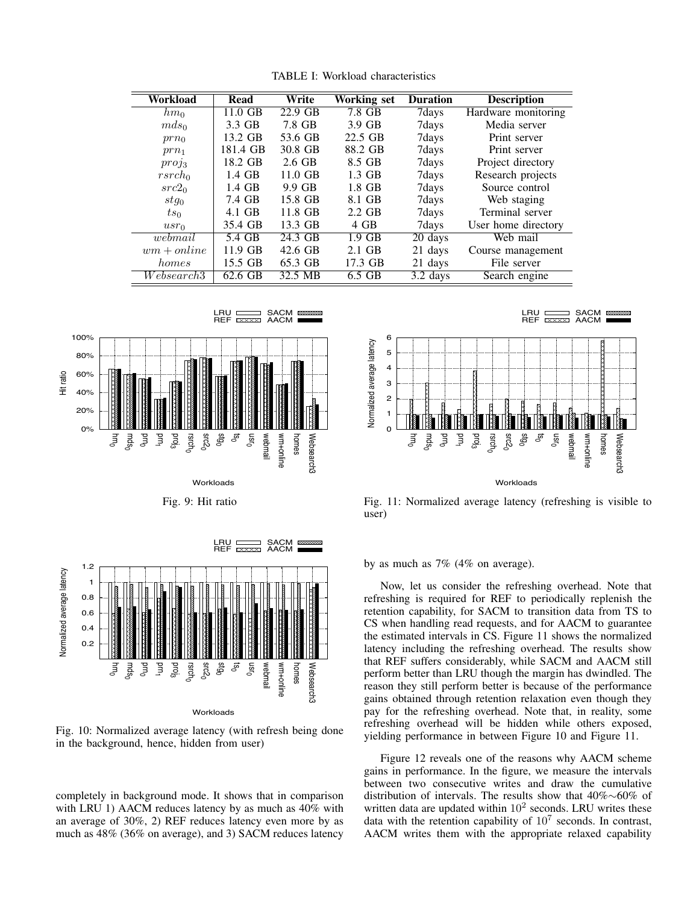| Workload               | Read      | Write     | Working set | <b>Duration</b>       | <b>Description</b>  |
|------------------------|-----------|-----------|-------------|-----------------------|---------------------|
| hm <sub>0</sub>        | $11.0$ GB | 22.9 GB   | 7.8 GB      | 7days                 | Hardware monitoring |
| $mds_0$                | 3.3 GB    | 7.8 GB    | 3.9 GB      | 7days                 | Media server        |
| $prn_0$                | 13.2 GB   | 53.6 GB   | 22.5 GB     | 7days                 | Print server        |
| $prn_1$                | 181.4 GB  | 30.8 GB   | 88.2 GB     | 7days                 | Print server        |
| proj <sub>3</sub>      | 18.2 GB   | 2.6 GB    | 8.5 GB      | 7days                 | Project directory   |
| $rsrch_0$              | 1.4 GB    | $11.0$ GB | 1.3 GB      | 7days                 | Research projects   |
| $src2_0$               | $1.4$ GB  | 9.9 GB    | 1.8 GB      | 7days                 | Source control      |
| $stg_0$                | 7.4 GB    | 15.8 GB   | 8.1 GB      | 7days                 | Web staging         |
| $ts_0$                 | $4.1$ GB  | $11.8$ GB | $2.2$ GB    | 7days                 | Terminal server     |
| $usr_0$                | 35.4 GB   | 13.3 GB   | 4 GB        | 7days                 | User home directory |
| webmail                | 5.4 GB    | 24.3 GB   | $1.9$ GB    | 20 days               | Web mail            |
| $wm + online$          | 11.9 GB   | 42.6 GB   | 2.1 GB      | 21 days               | Course management   |
| homes                  | 15.5 GB   | 65.3 GB   | 17.3 GB     | 21 days               | File server         |
| Websearch <sub>3</sub> | 62.6 GB   | 32.5 MB   | 6.5 GB      | $\overline{3.2}$ days | Search engine       |

TABLE I: Workload characteristics



Fig. 9: Hit ratio



Fig. 10: Normalized average latency (with refresh being done in the background, hence, hidden from user)

completely in background mode. It shows that in comparison with LRU 1) AACM reduces latency by as much as 40% with an average of 30%, 2) REF reduces latency even more by as much as 48% (36% on average), and 3) SACM reduces latency

LRU <del>Caral</del> SACM<br>REF IXXXXI AACM



Fig. 11: Normalized average latency (refreshing is visible to user)

by as much as 7% (4% on average).

Now, let us consider the refreshing overhead. Note that refreshing is required for REF to periodically replenish the retention capability, for SACM to transition data from TS to CS when handling read requests, and for AACM to guarantee the estimated intervals in CS. Figure 11 shows the normalized latency including the refreshing overhead. The results show that REF suffers considerably, while SACM and AACM still perform better than LRU though the margin has dwindled. The reason they still perform better is because of the performance gains obtained through retention relaxation even though they pay for the refreshing overhead. Note that, in reality, some refreshing overhead will be hidden while others exposed, yielding performance in between Figure 10 and Figure 11.

Figure 12 reveals one of the reasons why AACM scheme gains in performance. In the figure, we measure the intervals between two consecutive writes and draw the cumulative distribution of intervals. The results show that 40%∼60% of written data are updated within  $10^2$  seconds. LRU writes these data with the retention capability of  $10^7$  seconds. In contrast, AACM writes them with the appropriate relaxed capability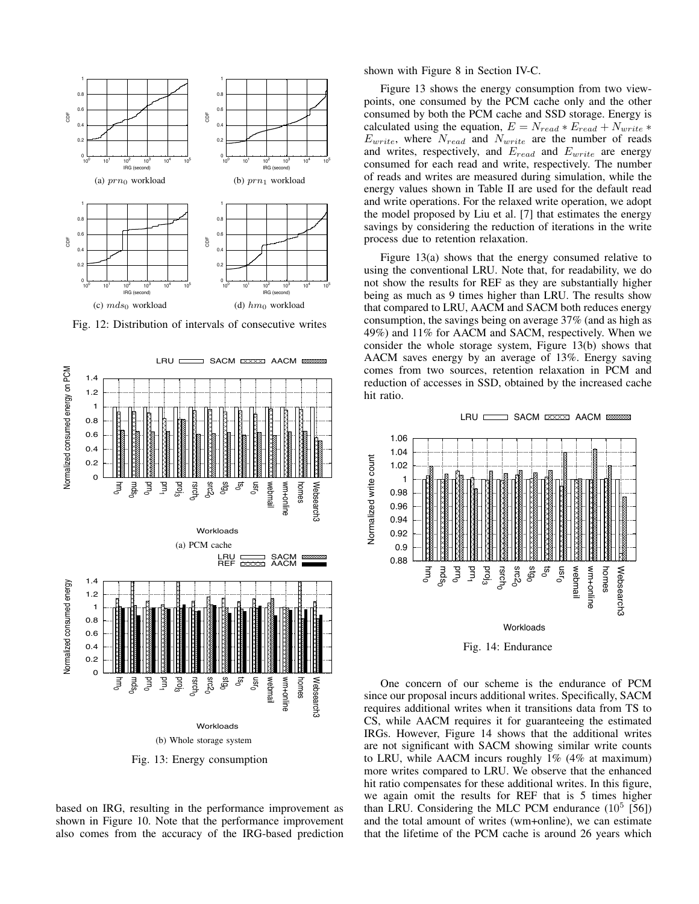

Fig. 12: Distribution of intervals of consecutive writes



Fig. 13: Energy consumption

based on IRG, resulting in the performance improvement as shown in Figure 10. Note that the performance improvement also comes from the accuracy of the IRG-based prediction shown with Figure 8 in Section IV-C.

Figure 13 shows the energy consumption from two viewpoints, one consumed by the PCM cache only and the other consumed by both the PCM cache and SSD storage. Energy is calculated using the equation,  $E = N_{read} * E_{read} + N_{write} *$  $E_{write}$ , where  $N_{read}$  and  $N_{write}$  are the number of reads and writes, respectively, and  $E_{read}$  and  $E_{write}$  are energy consumed for each read and write, respectively. The number of reads and writes are measured during simulation, while the energy values shown in Table II are used for the default read and write operations. For the relaxed write operation, we adopt the model proposed by Liu et al. [7] that estimates the energy savings by considering the reduction of iterations in the write process due to retention relaxation.

Figure 13(a) shows that the energy consumed relative to using the conventional LRU. Note that, for readability, we do not show the results for REF as they are substantially higher being as much as 9 times higher than LRU. The results show that compared to LRU, AACM and SACM both reduces energy consumption, the savings being on average 37% (and as high as 49%) and 11% for AACM and SACM, respectively. When we consider the whole storage system, Figure 13(b) shows that AACM saves energy by an average of 13%. Energy saving comes from two sources, retention relaxation in PCM and reduction of accesses in SSD, obtained by the increased cache hit ratio.

LRU SACM XXXXI AACM XXXXXI



Normalized write count

Normalized write count

Fig. 14: Endurance

One concern of our scheme is the endurance of PCM since our proposal incurs additional writes. Specifically, SACM requires additional writes when it transitions data from TS to CS, while AACM requires it for guaranteeing the estimated IRGs. However, Figure 14 shows that the additional writes are not significant with SACM showing similar write counts to LRU, while AACM incurs roughly 1% (4% at maximum) more writes compared to LRU. We observe that the enhanced hit ratio compensates for these additional writes. In this figure, we again omit the results for REF that is 5 times higher than LRU. Considering the MLC PCM endurance  $(10^5 \text{ [}56\text{]})$ and the total amount of writes (wm+online), we can estimate that the lifetime of the PCM cache is around 26 years which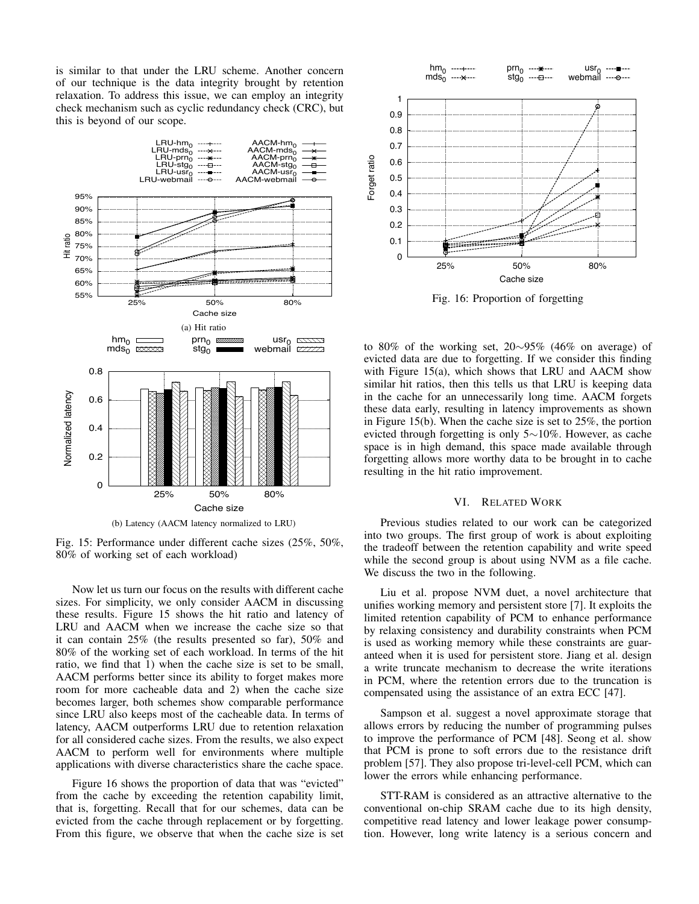is similar to that under the LRU scheme. Another concern of our technique is the data integrity brought by retention relaxation. To address this issue, we can employ an integrity check mechanism such as cyclic redundancy check (CRC), but this is beyond of our scope.



Fig. 15: Performance under different cache sizes (25%, 50%, 80% of working set of each workload)

Now let us turn our focus on the results with different cache sizes. For simplicity, we only consider AACM in discussing these results. Figure 15 shows the hit ratio and latency of LRU and AACM when we increase the cache size so that it can contain 25% (the results presented so far), 50% and 80% of the working set of each workload. In terms of the hit ratio, we find that 1) when the cache size is set to be small, AACM performs better since its ability to forget makes more room for more cacheable data and 2) when the cache size becomes larger, both schemes show comparable performance since LRU also keeps most of the cacheable data. In terms of latency, AACM outperforms LRU due to retention relaxation for all considered cache sizes. From the results, we also expect AACM to perform well for environments where multiple applications with diverse characteristics share the cache space.

Figure 16 shows the proportion of data that was "evicted" from the cache by exceeding the retention capability limit, that is, forgetting. Recall that for our schemes, data can be evicted from the cache through replacement or by forgetting. From this figure, we observe that when the cache size is set



Fig. 16: Proportion of forgetting

to 80% of the working set, 20∼95% (46% on average) of evicted data are due to forgetting. If we consider this finding with Figure 15(a), which shows that LRU and AACM show similar hit ratios, then this tells us that LRU is keeping data in the cache for an unnecessarily long time. AACM forgets these data early, resulting in latency improvements as shown in Figure 15(b). When the cache size is set to 25%, the portion evicted through forgetting is only 5∼10%. However, as cache space is in high demand, this space made available through forgetting allows more worthy data to be brought in to cache resulting in the hit ratio improvement.

# VI. RELATED WORK

Previous studies related to our work can be categorized into two groups. The first group of work is about exploiting the tradeoff between the retention capability and write speed while the second group is about using NVM as a file cache. We discuss the two in the following.

Liu et al. propose NVM duet, a novel architecture that unifies working memory and persistent store [7]. It exploits the limited retention capability of PCM to enhance performance by relaxing consistency and durability constraints when PCM is used as working memory while these constraints are guaranteed when it is used for persistent store. Jiang et al. design a write truncate mechanism to decrease the write iterations in PCM, where the retention errors due to the truncation is compensated using the assistance of an extra ECC [47].

Sampson et al. suggest a novel approximate storage that allows errors by reducing the number of programming pulses to improve the performance of PCM [48]. Seong et al. show that PCM is prone to soft errors due to the resistance drift problem [57]. They also propose tri-level-cell PCM, which can lower the errors while enhancing performance.

STT-RAM is considered as an attractive alternative to the conventional on-chip SRAM cache due to its high density, competitive read latency and lower leakage power consumption. However, long write latency is a serious concern and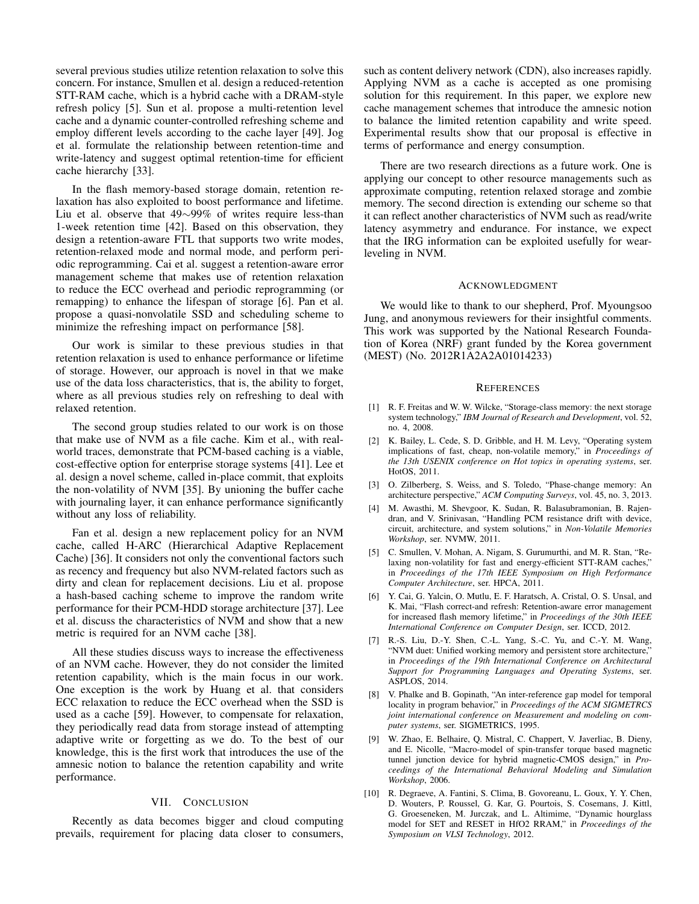several previous studies utilize retention relaxation to solve this concern. For instance, Smullen et al. design a reduced-retention STT-RAM cache, which is a hybrid cache with a DRAM-style refresh policy [5]. Sun et al. propose a multi-retention level cache and a dynamic counter-controlled refreshing scheme and employ different levels according to the cache layer [49]. Jog et al. formulate the relationship between retention-time and write-latency and suggest optimal retention-time for efficient cache hierarchy [33].

In the flash memory-based storage domain, retention relaxation has also exploited to boost performance and lifetime. Liu et al. observe that 49∼99% of writes require less-than 1-week retention time [42]. Based on this observation, they design a retention-aware FTL that supports two write modes, retention-relaxed mode and normal mode, and perform periodic reprogramming. Cai et al. suggest a retention-aware error management scheme that makes use of retention relaxation to reduce the ECC overhead and periodic reprogramming (or remapping) to enhance the lifespan of storage [6]. Pan et al. propose a quasi-nonvolatile SSD and scheduling scheme to minimize the refreshing impact on performance [58].

Our work is similar to these previous studies in that retention relaxation is used to enhance performance or lifetime of storage. However, our approach is novel in that we make use of the data loss characteristics, that is, the ability to forget, where as all previous studies rely on refreshing to deal with relaxed retention.

The second group studies related to our work is on those that make use of NVM as a file cache. Kim et al., with realworld traces, demonstrate that PCM-based caching is a viable, cost-effective option for enterprise storage systems [41]. Lee et al. design a novel scheme, called in-place commit, that exploits the non-volatility of NVM [35]. By unioning the buffer cache with journaling layer, it can enhance performance significantly without any loss of reliability.

Fan et al. design a new replacement policy for an NVM cache, called H-ARC (Hierarchical Adaptive Replacement Cache) [36]. It considers not only the conventional factors such as recency and frequency but also NVM-related factors such as dirty and clean for replacement decisions. Liu et al. propose a hash-based caching scheme to improve the random write performance for their PCM-HDD storage architecture [37]. Lee et al. discuss the characteristics of NVM and show that a new metric is required for an NVM cache [38].

All these studies discuss ways to increase the effectiveness of an NVM cache. However, they do not consider the limited retention capability, which is the main focus in our work. One exception is the work by Huang et al. that considers ECC relaxation to reduce the ECC overhead when the SSD is used as a cache [59]. However, to compensate for relaxation, they periodically read data from storage instead of attempting adaptive write or forgetting as we do. To the best of our knowledge, this is the first work that introduces the use of the amnesic notion to balance the retention capability and write performance.

## VII. CONCLUSION

Recently as data becomes bigger and cloud computing prevails, requirement for placing data closer to consumers,

such as content delivery network (CDN), also increases rapidly. Applying NVM as a cache is accepted as one promising solution for this requirement. In this paper, we explore new cache management schemes that introduce the amnesic notion to balance the limited retention capability and write speed. Experimental results show that our proposal is effective in terms of performance and energy consumption.

There are two research directions as a future work. One is applying our concept to other resource managements such as approximate computing, retention relaxed storage and zombie memory. The second direction is extending our scheme so that it can reflect another characteristics of NVM such as read/write latency asymmetry and endurance. For instance, we expect that the IRG information can be exploited usefully for wearleveling in NVM.

#### ACKNOWLEDGMENT

We would like to thank to our shepherd, Prof. Myoungsoo Jung, and anonymous reviewers for their insightful comments. This work was supported by the National Research Foundation of Korea (NRF) grant funded by the Korea government (MEST) (No. 2012R1A2A2A01014233)

#### **REFERENCES**

- [1] R. F. Freitas and W. W. Wilcke, "Storage-class memory: the next storage system technology," *IBM Journal of Research and Development*, vol. 52, no. 4, 2008.
- [2] K. Bailey, L. Cede, S. D. Gribble, and H. M. Levy, "Operating system implications of fast, cheap, non-volatile memory," in *Proceedings of the 13th USENIX conference on Hot topics in operating systems*, ser. HotOS, 2011.
- [3] O. Zilberberg, S. Weiss, and S. Toledo, "Phase-change memory: An architecture perspective," *ACM Computing Surveys*, vol. 45, no. 3, 2013.
- [4] M. Awasthi, M. Shevgoor, K. Sudan, R. Balasubramonian, B. Rajendran, and V. Srinivasan, "Handling PCM resistance drift with device, circuit, architecture, and system solutions," in *Non-Volatile Memories Workshop*, ser. NVMW, 2011.
- [5] C. Smullen, V. Mohan, A. Nigam, S. Gurumurthi, and M. R. Stan, "Relaxing non-volatility for fast and energy-efficient STT-RAM caches," in *Proceedings of the 17th IEEE Symposium on High Performance Computer Architecture*, ser. HPCA, 2011.
- [6] Y. Cai, G. Yalcin, O. Mutlu, E. F. Haratsch, A. Cristal, O. S. Unsal, and K. Mai, "Flash correct-and refresh: Retention-aware error management for increased flash memory lifetime," in *Proceedings of the 30th IEEE International Conference on Computer Design*, ser. ICCD, 2012.
- [7] R.-S. Liu, D.-Y. Shen, C.-L. Yang, S.-C. Yu, and C.-Y. M. Wang, "NVM duet: Unified working memory and persistent store architecture," in *Proceedings of the 19th International Conference on Architectural Support for Programming Languages and Operating Systems*, ser. ASPLOS, 2014.
- V. Phalke and B. Gopinath, "An inter-reference gap model for temporal locality in program behavior," in *Proceedings of the ACM SIGMETRCS joint international conference on Measurement and modeling on computer systems*, ser. SIGMETRICS, 1995.
- [9] W. Zhao, E. Belhaire, Q. Mistral, C. Chappert, V. Javerliac, B. Dieny, and E. Nicolle, "Macro-model of spin-transfer torque based magnetic tunnel junction device for hybrid magnetic-CMOS design," in *Proceedings of the International Behavioral Modeling and Simulation Workshop*, 2006.
- [10] R. Degraeve, A. Fantini, S. Clima, B. Govoreanu, L. Goux, Y. Y. Chen, D. Wouters, P. Roussel, G. Kar, G. Pourtois, S. Cosemans, J. Kittl, G. Groeseneken, M. Jurczak, and L. Altimime, "Dynamic hourglass model for SET and RESET in HfO2 RRAM," in *Proceedings of the Symposium on VLSI Technology*, 2012.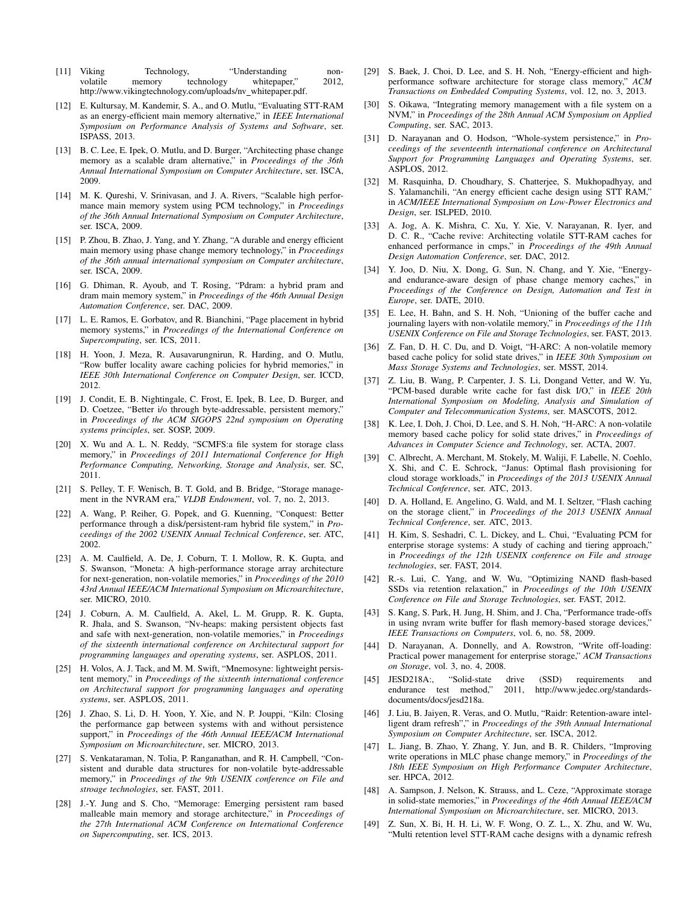- [11] Viking Technology, "Understanding non-<br>volatile memory technology white paper," 2012, volatile memory technology whitepaper," 2012, http://www.vikingtechnology.com/uploads/nv\_whitepaper.pdf.
- [12] E. Kultursay, M. Kandemir, S. A., and O. Mutlu, "Evaluating STT-RAM as an energy-efficient main memory alternative," in *IEEE International Symposium on Performance Analysis of Systems and Software*, ser. ISPASS, 2013.
- [13] B. C. Lee, E. Ipek, O. Mutlu, and D. Burger, "Architecting phase change memory as a scalable dram alternative," in *Proceedings of the 36th Annual International Symposium on Computer Architecture*, ser. ISCA, 2009.
- [14] M. K. Qureshi, V. Srinivasan, and J. A. Rivers, "Scalable high performance main memory system using PCM technology," in *Proceedings of the 36th Annual International Symposium on Computer Architecture*, ser. ISCA, 2009.
- [15] P. Zhou, B. Zhao, J. Yang, and Y. Zhang, "A durable and energy efficient main memory using phase change memory technology," in *Proceedings of the 36th annual international symposium on Computer architecture*, ser. ISCA, 2009.
- [16] G. Dhiman, R. Ayoub, and T. Rosing, "Pdram: a hybrid pram and dram main memory system," in *Proceedings of the 46th Annual Design Automation Conference*, ser. DAC, 2009.
- [17] L. E. Ramos, E. Gorbatov, and R. Bianchini, "Page placement in hybrid memory systems," in *Proceedings of the International Conference on Supercomputing*, ser. ICS, 2011.
- [18] H. Yoon, J. Meza, R. Ausavarungnirun, R. Harding, and O. Mutlu, "Row buffer locality aware caching policies for hybrid memories," in *IEEE 30th International Conference on Computer Design*, ser. ICCD, 2012.
- [19] J. Condit, E. B. Nightingale, C. Frost, E. Ipek, B. Lee, D. Burger, and D. Coetzee, "Better i/o through byte-addressable, persistent memory," in *Proceedings of the ACM SIGOPS 22nd symposium on Operating systems principles*, ser. SOSP, 2009.
- [20] X. Wu and A. L. N. Reddy, "SCMFS:a file system for storage class memory," in *Proceedings of 2011 International Conference for High Performance Computing, Networking, Storage and Analysis*, ser. SC, 2011.
- [21] S. Pelley, T. F. Wenisch, B. T. Gold, and B. Bridge, "Storage management in the NVRAM era," *VLDB Endowment*, vol. 7, no. 2, 2013.
- [22] A. Wang, P. Reiher, G. Popek, and G. Kuenning, "Conquest: Better performance through a disk/persistent-ram hybrid file system," in *Proceedings of the 2002 USENIX Annual Technical Conference*, ser. ATC, 2002.
- [23] A. M. Caulfield, A. De, J. Coburn, T. I. Mollow, R. K. Gupta, and S. Swanson, "Moneta: A high-performance storage array architecture for next-generation, non-volatile memories," in *Proceedings of the 2010 43rd Annual IEEE/ACM International Symposium on Microarchitecture*, ser. MICRO, 2010.
- [24] J. Coburn, A. M. Caulfield, A. Akel, L. M. Grupp, R. K. Gupta, R. Jhala, and S. Swanson, "Nv-heaps: making persistent objects fast and safe with next-generation, non-volatile memories," in *Proceedings of the sixteenth international conference on Architectural support for programming languages and operating systems*, ser. ASPLOS, 2011.
- [25] H. Volos, A. J. Tack, and M. M. Swift, "Mnemosyne: lightweight persistent memory," in *Proceedings of the sixteenth international conference on Architectural support for programming languages and operating systems*, ser. ASPLOS, 2011.
- [26] J. Zhao, S. Li, D. H. Yoon, Y. Xie, and N. P. Jouppi, "Kiln: Closing the performance gap between systems with and without persistence support," in *Proceedings of the 46th Annual IEEE/ACM International Symposium on Microarchitecture*, ser. MICRO, 2013.
- [27] S. Venkataraman, N. Tolia, P. Ranganathan, and R. H. Campbell, "Consistent and durable data structures for non-volatile byte-addressable memory," in *Proceedings of the 9th USENIX conference on File and stroage technologies*, ser. FAST, 2011.
- [28] J.-Y. Jung and S. Cho, "Memorage: Emerging persistent ram based malleable main memory and storage architecture," in *Proceedings of the 27th International ACM Conference on International Conference on Supercomputing*, ser. ICS, 2013.
- [29] S. Baek, J. Choi, D. Lee, and S. H. Noh, "Energy-efficient and highperformance software architecture for storage class memory," *ACM Transactions on Embedded Computing Systems*, vol. 12, no. 3, 2013.
- [30] S. Oikawa, "Integrating memory management with a file system on a NVM," in *Proceedings of the 28th Annual ACM Symposium on Applied Computing*, ser. SAC, 2013.
- [31] D. Narayanan and O. Hodson, "Whole-system persistence," in *Proceedings of the seventeenth international conference on Architectural Support for Programming Languages and Operating Systems*, ser. ASPLOS, 2012.
- [32] M. Rasquinha, D. Choudhary, S. Chatterjee, S. Mukhopadhyay, and S. Yalamanchili, "An energy efficient cache design using STT RAM," in *ACM/IEEE International Symposium on Low-Power Electronics and Design*, ser. ISLPED, 2010.
- [33] A. Jog, A. K. Mishra, C. Xu, Y. Xie, V. Narayanan, R. Iyer, and D. C. R., "Cache revive: Architecting volatile STT-RAM caches for enhanced performance in cmps," in *Proceedings of the 49th Annual Design Automation Conference*, ser. DAC, 2012.
- [34] Y. Joo, D. Niu, X. Dong, G. Sun, N. Chang, and Y. Xie, "Energyand endurance-aware design of phase change memory caches," in *Proceedings of the Conference on Design, Automation and Test in Europe*, ser. DATE, 2010.
- [35] E. Lee, H. Bahn, and S. H. Noh, "Unioning of the buffer cache and journaling layers with non-volatile memory," in *Proceedings of the 11th USENIX Conference on File and Storage Technologies*, ser. FAST, 2013.
- [36] Z. Fan, D. H. C. Du, and D. Voigt, "H-ARC: A non-volatile memory based cache policy for solid state drives," in *IEEE 30th Symposium on Mass Storage Systems and Technologies*, ser. MSST, 2014.
- [37] Z. Liu, B. Wang, P. Carpenter, J. S. Li, Dongand Vetter, and W. Yu, "PCM-based durable write cache for fast disk I/O," in *IEEE 20th International Symposium on Modeling, Analysis and Simulation of Computer and Telecommunication Systems*, ser. MASCOTS, 2012.
- [38] K. Lee, I. Doh, J. Choi, D. Lee, and S. H. Noh, "H-ARC: A non-volatile memory based cache policy for solid state drives," in *Proceedings of Advances in Computer Science and Technology*, ser. ACTA, 2007.
- [39] C. Albrecht, A. Merchant, M. Stokely, M. Waliji, F. Labelle, N. Coehlo, X. Shi, and C. E. Schrock, "Janus: Optimal flash provisioning for cloud storage workloads," in *Proceedings of the 2013 USENIX Annual Technical Conference*, ser. ATC, 2013.
- [40] D. A. Holland, E. Angelino, G. Wald, and M. I. Seltzer, "Flash caching on the storage client," in *Proceedings of the 2013 USENIX Annual Technical Conference*, ser. ATC, 2013.
- [41] H. Kim, S. Seshadri, C. L. Dickey, and L. Chui, "Evaluating PCM for enterprise storage systems: A study of caching and tiering approach," in *Proceedings of the 12th USENIX conference on File and stroage technologies*, ser. FAST, 2014.
- [42] R.-s. Lui, C. Yang, and W. Wu, "Optimizing NAND flash-based SSDs via retention relaxation," in *Proceedings of the 10th USENIX Conference on File and Storage Technologies*, ser. FAST, 2012.
- [43] S. Kang, S. Park, H. Jung, H. Shim, and J. Cha, "Performance trade-offs in using nvram write buffer for flash memory-based storage devices," *IEEE Transactions on Computers*, vol. 6, no. 58, 2009.
- [44] D. Narayanan, A. Donnelly, and A. Rowstron, "Write off-loading: Practical power management for enterprise storage," *ACM Transactions on Storage*, vol. 3, no. 4, 2008.
- [45] JESD218A:, "Solid-state drive (SSD) requirements and 2011, http://www.jedec.org/standardsdocuments/docs/jesd218a.
- [46] J. Liu, B. Jaiyen, R. Veras, and O. Mutlu, "Raidr: Retention-aware intelligent dram refresh"," in *Proceedings of the 39th Annual International Symposium on Computer Architecture*, ser. ISCA, 2012.
- [47] L. Jiang, B. Zhao, Y. Zhang, Y. Jun, and B. R. Childers, "Improving write operations in MLC phase change memory," in *Proceedings of the 18th IEEE Symposium on High Performance Computer Architecture*, ser. HPCA, 2012.
- [48] A. Sampson, J. Nelson, K. Strauss, and L. Ceze, "Approximate storage in solid-state memories," in *Proceedings of the 46th Annual IEEE/ACM International Symposium on Microarchitecture*, ser. MICRO, 2013.
- [49] Z. Sun, X. Bi, H. H. Li, W. F. Wong, O. Z. L., X. Zhu, and W. Wu, "Multi retention level STT-RAM cache designs with a dynamic refresh